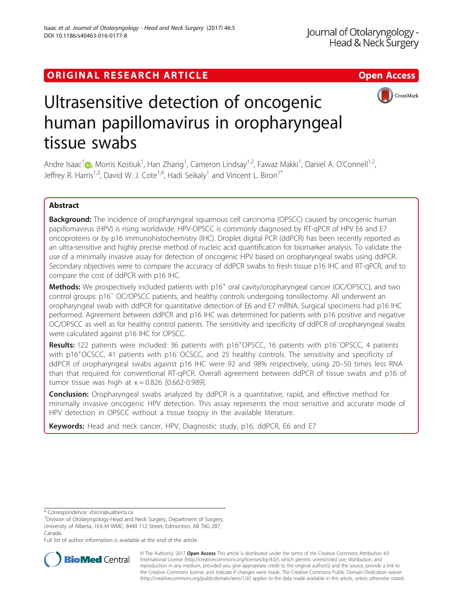# ORIGINAL RESEARCH ARTICLE **External of the Contract Contract Contract Contract Contract Contract Contract Contract Contract Contract Contract Contract Contract Contract Contract Contract Contract Contract Contract Contract**



# Ultrasensitive detection of oncogenic human papillomavirus in oropharyngeal tissue swabs

Andre Isaac<sup>1</sup> (@[,](http://orcid.org/0000-0003-1551-9588) Morris Kostiuk<sup>1</sup>, Han Zhang<sup>1</sup>, Cameron Lindsay<sup>1,2</sup>, Fawaz Makki<sup>1</sup>, Daniel A. O'Connell<sup>1,2</sup>, Jeffrey R. Harris<sup>1,3</sup>, David W. J. Cote<sup>1,4</sup>, Hadi Seikaly<sup>1</sup> and Vincent L. Biron<sup>1\*</sup>

# Abstract

**Background:** The incidence of oropharyngeal squamous cell carcinoma (OPSCC) caused by oncogenic human papillomavirus (HPV) is rising worldwide. HPV-OPSCC is commonly diagnosed by RT-qPCR of HPV E6 and E7 oncoproteins or by p16 immunohistochemistry (IHC). Droplet digital PCR (ddPCR) has been recently reported as an ultra-sensitive and highly precise method of nucleic acid quantification for biomarker analysis. To validate the use of a minimally invasive assay for detection of oncogenic HPV based on oropharyngeal swabs using ddPCR. Secondary objectives were to compare the accuracy of ddPCR swabs to fresh tissue p16 IHC and RT-qPCR, and to compare the cost of ddPCR with p16 IHC.

Methods: We prospectively included patients with p16<sup>+</sup> oral cavity/oropharyngeal cancer (OC/OPSCC), and two control groups: p16<sup>−</sup> OC/OPSCC patients, and healthy controls undergoing tonsillectomy. All underwent an oropharyngeal swab with ddPCR for quantitative detection of E6 and E7 mRNA. Surgical specimens had p16 IHC performed. Agreement between ddPCR and p16 IHC was determined for patients with p16 positive and negative OC/OPSCC as well as for healthy control patients. The sensitivity and specificity of ddPCR of oropharyngeal swabs were calculated against p16 IHC for OPSCC.

Results: 122 patients were included: 36 patients with p16<sup>+</sup>OPSCC, 16 patients with p16<sup>-</sup>OPSCC, 4 patients with p16<sup>+</sup>OCSCC, 41 patients with p16<sup>--</sup>OCSCC, and 25 healthy controls. The sensitivity and specificity of ddPCR of oropharyngeal swabs against p16 IHC were 92 and 98% respectively, using 20–50 times less RNA than that required for conventional RT-qPCR. Overall agreement between ddPCR of tissue swabs and p16 of tumor tissue was high at  $\kappa = 0.826$  [0.662-0.989].

**Conclusion:** Oropharyngeal swabs analyzed by ddPCR is a quantitative, rapid, and effective method for minimally invasive oncogenic HPV detection. This assay represents the most sensitive and accurate mode of HPV detection in OPSCC without a tissue biopsy in the available literature.

Keywords: Head and neck cancer, HPV, Diagnostic study, p16, ddPCR, E6 and E7

\* Correspondence: [vbiron@ualberta.ca](mailto:vbiron@ualberta.ca) <sup>1</sup>

Full list of author information is available at the end of the article



© The Author(s). 2017 **Open Access** This article is distributed under the terms of the Creative Commons Attribution 4.0 International License [\(http://creativecommons.org/licenses/by/4.0/](http://creativecommons.org/licenses/by/4.0/)), which permits unrestricted use, distribution, and reproduction in any medium, provided you give appropriate credit to the original author(s) and the source, provide a link to the Creative Commons license, and indicate if changes were made. The Creative Commons Public Domain Dedication waiver [\(http://creativecommons.org/publicdomain/zero/1.0/](http://creativecommons.org/publicdomain/zero/1.0/)) applies to the data made available in this article, unless otherwise stated.

<sup>&</sup>lt;sup>1</sup> Division of Otolaryngology-Head and Neck Surgery, Department of Surgery, University of Alberta, 1E4.34 WMC, 8440 112 Street, Edmonton, AB T6G 2B7, Canada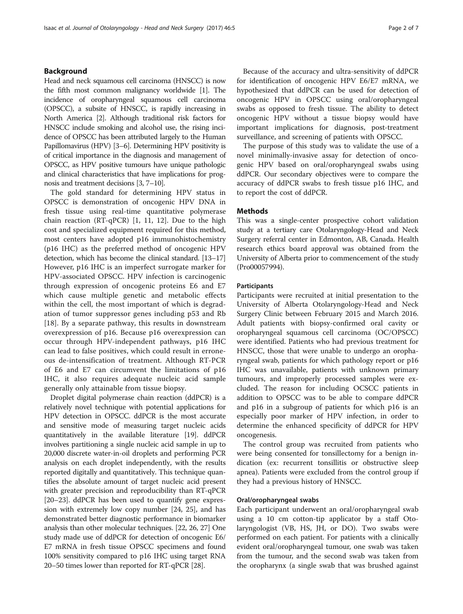### Background

Head and neck squamous cell carcinoma (HNSCC) is now the fifth most common malignancy worldwide [[1\]](#page-5-0). The incidence of oropharyngeal squamous cell carcinoma (OPSCC), a subsite of HNSCC, is rapidly increasing in North America [\[2\]](#page-5-0). Although traditional risk factors for HNSCC include smoking and alcohol use, the rising incidence of OPSCC has been attributed largely to the Human Papillomavirus (HPV) [[3](#page-5-0)–[6\]](#page-5-0). Determining HPV positivity is of critical importance in the diagnosis and management of OPSCC, as HPV positive tumours have unique pathologic and clinical characteristics that have implications for prognosis and treatment decisions [\[3](#page-5-0), [7](#page-5-0)–[10\]](#page-5-0).

The gold standard for determining HPV status in OPSCC is demonstration of oncogenic HPV DNA in fresh tissue using real-time quantitative polymerase chain reaction (RT-qPCR) [[1, 11](#page-5-0), [12](#page-5-0)]. Due to the high cost and specialized equipment required for this method, most centers have adopted p16 immunohistochemistry (p16 IHC) as the preferred method of oncogenic HPV detection, which has become the clinical standard. [[13](#page-5-0)–[17](#page-5-0)] However, p16 IHC is an imperfect surrogate marker for HPV-associated OPSCC. HPV infection is carcinogenic through expression of oncogenic proteins E6 and E7 which cause multiple genetic and metabolic effects within the cell, the most important of which is degradation of tumor suppressor genes including p53 and Rb [[18\]](#page-5-0). By a separate pathway, this results in downstream overexpression of p16. Because p16 overexpression can occur through HPV-independent pathways, p16 IHC can lead to false positives, which could result in erroneous de-intensification of treatment. Although RT-PCR of E6 and E7 can circumvent the limitations of p16 IHC, it also requires adequate nucleic acid sample generally only attainable from tissue biopsy.

Droplet digital polymerase chain reaction (ddPCR) is a relatively novel technique with potential applications for HPV detection in OPSCC. ddPCR is the most accurate and sensitive mode of measuring target nucleic acids quantitatively in the available literature [\[19\]](#page-5-0). ddPCR involves partitioning a single nucleic acid sample in up to 20,000 discrete water-in-oil droplets and performing PCR analysis on each droplet independently, with the results reported digitally and quantitatively. This technique quantifies the absolute amount of target nucleic acid present with greater precision and reproducibility than RT-qPCR [[20](#page-5-0)–[23\]](#page-5-0). ddPCR has been used to quantify gene expression with extremely low copy number [\[24,](#page-5-0) [25\]](#page-6-0), and has demonstrated better diagnostic performance in biomarker analysis than other molecular techniques. [[22](#page-5-0), [26, 27](#page-6-0)] One study made use of ddPCR for detection of oncogenic E6/ E7 mRNA in fresh tissue OPSCC specimens and found 100% sensitivity compared to p16 IHC using target RNA 20–50 times lower than reported for RT-qPCR [\[28\]](#page-6-0).

Because of the accuracy and ultra-sensitivity of ddPCR for identification of oncogenic HPV E6/E7 mRNA, we hypothesized that ddPCR can be used for detection of oncogenic HPV in OPSCC using oral/oropharyngeal swabs as opposed to fresh tissue. The ability to detect oncogenic HPV without a tissue biopsy would have important implications for diagnosis, post-treatment surveillance, and screening of patients with OPSCC.

The purpose of this study was to validate the use of a novel minimally-invasive assay for detection of oncogenic HPV based on oral/oropharyngeal swabs using ddPCR. Our secondary objectives were to compare the accuracy of ddPCR swabs to fresh tissue p16 IHC, and to report the cost of ddPCR.

#### **Methods**

This was a single-center prospective cohort validation study at a tertiary care Otolaryngology-Head and Neck Surgery referral center in Edmonton, AB, Canada. Health research ethics board approval was obtained from the University of Alberta prior to commencement of the study (Pro00057994).

#### **Participants**

Participants were recruited at initial presentation to the University of Alberta Otolaryngology-Head and Neck Surgery Clinic between February 2015 and March 2016. Adult patients with biopsy-confirmed oral cavity or oropharyngeal squamous cell carcinoma (OC/OPSCC) were identified. Patients who had previous treatment for HNSCC, those that were unable to undergo an oropharyngeal swab, patients for which pathology report or p16 IHC was unavailable, patients with unknown primary tumours, and improperly processed samples were excluded. The reason for including OCSCC patients in addition to OPSCC was to be able to compare ddPCR and p16 in a subgroup of patients for which p16 is an especially poor marker of HPV infection, in order to determine the enhanced specificity of ddPCR for HPV oncogenesis.

The control group was recruited from patients who were being consented for tonsillectomy for a benign indication (ex: recurrent tonsillitis or obstructive sleep apnea). Patients were excluded from the control group if they had a previous history of HNSCC.

#### Oral/oropharyngeal swabs

Each participant underwent an oral/oropharyngeal swab using a 10 cm cotton-tip applicator by a staff Otolaryngologist (VB, HS, JH, or DO). Two swabs were performed on each patient. For patients with a clinically evident oral/oropharyngeal tumour, one swab was taken from the tumour, and the second swab was taken from the oropharynx (a single swab that was brushed against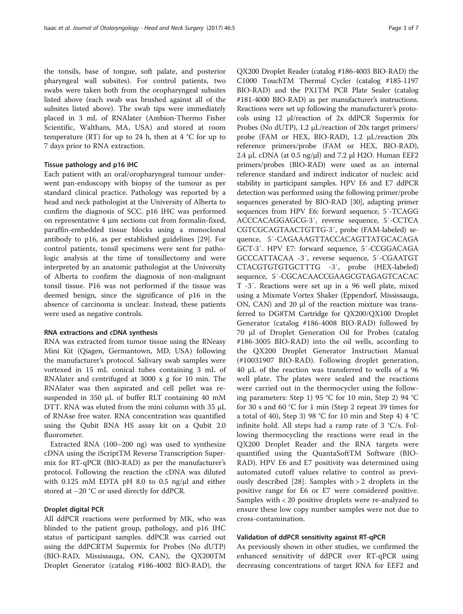the tonsils, base of tongue, soft palate, and posterior pharyngeal wall subsites). For control patients, two swabs were taken both from the oropharyngeal subsites listed above (each swab was brushed against all of the subsites listed above). The swab tips were immediately placed in 3 mL of RNAlater (Ambion-Thermo Fisher Scientific, Waltham, MA, USA) and stored at room temperature (RT) for up to 24 h, then at 4  $\degree$ C for up to 7 days prior to RNA extraction.

#### Tissue pathology and p16 IHC

Each patient with an oral/oropharyngeal tumour underwent pan-endoscopy with biopsy of the tumour as per standard clinical practice. Pathology was reported by a head and neck pathologist at the University of Alberta to confirm the diagnosis of SCC. p16 IHC was performed on representative 4 μm sections cut from formalin-fixed, paraffin-embedded tissue blocks using a monoclonal antibody to p16, as per established guidelines [\[29](#page-6-0)]. For control patients, tonsil specimens were sent for pathologic analysis at the time of tonsillectomy and were interpreted by an anatomic pathologist at the University of Alberta to confirm the diagnosis of non-malignant tonsil tissue. P16 was not performed if the tissue was deemed benign, since the significance of p16 in the absence of carcinoma is unclear. Instead, these patients were used as negative controls.

#### RNA extractions and cDNA synthesis

RNA was extracted from tumor tissue using the RNeasy Mini Kit (Qiagen, Germantown, MD, USA) following the manufacturer's protocol. Salivary swab samples were vortexed in 15 mL conical tubes containing 3 mL of RNAlater and centrifuged at 3000 x g for 10 min. The RNAlater was then aspirated and cell pellet was resuspended in 350 μL of buffer RLT containing 40 mM DTT. RNA was eluted from the mini column with 35 μL of RNAse free water. RNA concentration was quantified using the Qubit RNA HS assay kit on a Qubit 2.0 fluorometer.

Extracted RNA (100–200 ng) was used to synthesize cDNA using the iScriptTM Reverse Transcription Supermix for RT-qPCR (BIO-RAD) as per the manufacturer's protocol. Following the reaction the cDNA was diluted with 0.125 mM EDTA pH 8.0 to 0.5 ng/μl and either stored at −20 °C or used directly for ddPCR.

#### Droplet digital PCR

All ddPCR reactions were performed by MK, who was blinded to the patient group, pathology, and p16 IHC status of participant samples. ddPCR was carried out using the ddPCRTM Supermix for Probes (No dUTP) (BIO-RAD, Mississauga, ON, CAN), the QX200TM Droplet Generator (catalog #186-4002 BIO-RAD), the

QX200 Droplet Reader (catalog #186-4003 BIO-RAD) the C1000 TouchTM Thermal Cycler (catalog #185-1197 BIO-RAD) and the PX1TM PCR Plate Sealer (catalog #181-4000 BIO-RAD) as per manufacturer's instructions. Reactions were set up following the manufacturer's protocols using 12 μl/reaction of 2x ddPCR Supermix for Probes (No dUTP), 1.2 μL/reaction of 20x target primers/ probe (FAM or HEX, BIO-RAD), 1.2 μL/reaction 20x reference primers/probe (FAM or HEX, BIO-RAD), 2.4 μL cDNA (at 0.5 ng/μl) and 7.2 μl H2O. Human EEF2 primers/probes (BIO-RAD) were used as an internal reference standard and indirect indicator of nucleic acid stability in participant samples. HPV E6 and E7 ddPCR detection was performed using the following primer/probe sequences generated by BIO-RAD [[30](#page-6-0)], adapting primer sequences from HPV E6: forward sequence, 5′-TCAGG ACCCACAGGAGCG-3′, reverse sequence, 5′-CCTCA CGTCGCAGTAACTGTTG-3′, probe (FAM-labeled) sequence, 5′-CAGAAAGTTACCACAGTTATGCACAGA GCT-3′. HPV E7: forward sequence, 5′-CCGGACAGA GCCCATTACAA -3′, reverse sequence, 5′-CGAATGT CTACGTGTGTGCTTTG -3′, probe (HEX-labeled) sequence, 5′-CGCACAACCGAAGCGTAGAGTCACAC T -3′. Reactions were set up in a 96 well plate, mixed using a Mixmate Vortex Shaker (Eppendorf, Mississauga, ON, CAN) and 20 μl of the reaction mixture was transferred to DG8TM Cartridge for QX200/QX100 Droplet Generator (catalog #186-4008 BIO-RAD) followed by 70 μl of Droplet Generation Oil for Probes (catalog #186-3005 BIO-RAD) into the oil wells, according to the QX200 Droplet Generator Instruction Manual (#10031907 BIO-RAD). Following droplet generation, 40 μL of the reaction was transferred to wells of a 96 well plate. The plates were sealed and the reactions were carried out in the thermocycler using the following parameters: Step 1) 95 °C for 10 min, Step 2) 94 °C for 30 s and 60 °C for 1 min (Step 2 repeat 39 times for a total of 40), Step 3) 98 °C for 10 min and Step 4) 4 °C infinite hold. All steps had a ramp rate of 3 °C/s. Following thermocycling the reactions were read in the QX200 Droplet Reader and the RNA targets were quantified using the QuantaSoftTM Software (BIO-RAD). HPV E6 and E7 positivity was determined using automated cutoff values relative to control as previously described [\[28](#page-6-0)]. Samples with > 2 droplets in the positive range for E6 or E7 were considered positive. Samples with < 20 positive droplets were re-analyzed to ensure these low copy number samples were not due to cross-contamination.

#### Validation of ddPCR sensitivity against RT-qPCR

As previously shown in other studies, we confirmed the enhanced sensitivity of ddPCR over RT-qPCR using decreasing concentrations of target RNA for EEF2 and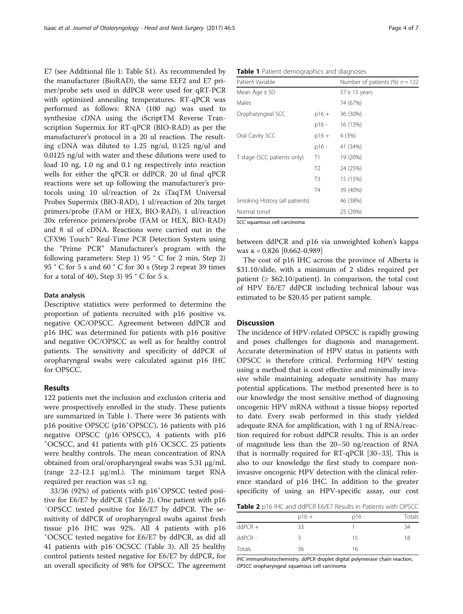E7 (see Additional file [1](#page-5-0): Table S1). As recommended by the manufacturer (BioRAD), the same EEF2 and E7 primer/probe sets used in ddPCR were used for qRT-PCR with optimized annealing temperatures. RT-qPCR was performed as follows: RNA (100 ng) was used to synthesize cDNA using the iScriptTM Reverse Transcription Supermix for RT-qPCR (BIO-RAD) as per the manufacturer's protocol in a 20 ul reaction. The resulting cDNA was diluted to 1.25 ng/ul, 0.125 ng/ul and 0.0125 ng/ul with water and these dilutions were used to load 10 ng, 1.0 ng and 0.1 ng respectively into reaction wells for either the qPCR or ddPCR. 20 ul final qPCR reactions were set up following the manufacturer's protocols using 10 ul/reaction of 2x iTaqTM Universal Probes Supermix (BIO-RAD), 1 ul/reaction of 20x target primers/probe (FAM or HEX, BIO-RAD), 1 ul/reaction 20x reference primers/probe (FAM or HEX, BIO-RAD) and 8 ul of cDNA. Reactions were carried out in the CFX96 Touch™ Real-Time PCR Detection System using the "Prime PCR" Manufacturer's program with the following parameters: Step 1) 95 ° C for 2 min, Step 2) 95 ° C for 5 s and 60 ° C for 30 s (Step 2 repeat 39 times for a total of 40), Step 3) 95  $\degree$  C for 5 s.

#### Data analysis

Descriptive statistics were performed to determine the proportion of patients recruited with p16 positive vs. negative OC/OPSCC. Agreement between ddPCR and p16 IHC was determined for patients with p16 positive and negative OC/OPSCC as well as for healthy control patients. The sensitivity and specificity of ddPCR of oropharyngeal swabs were calculated against p16 IHC for OPSCC.

#### Results

122 patients met the inclusion and exclusion criteria and were prospectively enrolled in the study. These patients are summarized in Table 1. There were 36 patients with p16 positive OPSCC (p16<sup>+</sup>OPSCC), 16 patients with p16 negative OPSCC (p16<sup>−</sup>OPSCC), 4 patients with p16<br><sup>+</sup>OCSCC and 41 patients with p16<sup>−</sup>OCSCC 25 patients OCSCC, and 41 patients with p16<sup>−</sup> OCSCC. 25 patients were healthy controls. The mean concentration of RNA obtained from oral/oropharyngeal swabs was 5.31 μg/mL (range 2.2-12.1 μg/mL). The minimum target RNA required per reaction was  $\leq 1$  ng.

33/36 (92%) of patients with p16<sup>+</sup> OPSCC tested positive for E6/E7 by ddPCR (Table 2). One patient with p16 − OPSCC tested positive for E6/E7 by ddPCR. The sensitivity of ddPCR of oropharyngeal swabs against fresh tissue p16 IHC was 92%. All 4 patients with p16 + OCSCC tested negative for E6/E7 by ddPCR, as did all 41 patients with p16<sup>−</sup> OCSCC (Table [3\)](#page-4-0). All 25 healthy control patients tested negative for E6/E7 by ddPCR, for an overall specificity of 98% for OPSCC. The agreement

|  |  |  | Table 1 Patient demographics and diagnoses |
|--|--|--|--------------------------------------------|
|--|--|--|--------------------------------------------|

| Patient Variable               |                | Number of patients (%) $n = 122$ |
|--------------------------------|----------------|----------------------------------|
| Mean Age $\pm$ SD              |                | $57 \pm 15$ years                |
| Males                          |                | 74 (67%)                         |
| Oropharyngeal SCC              | $p16 +$        | 36 (30%)                         |
|                                | p16 -          | 16 (13%)                         |
| Oral Cavity SCC                | p16 +          | 4 (3%)                           |
|                                | p16 -          | 41 (34%)                         |
| T stage (SCC patients only)    | Τ1             | 19 (20%)                         |
|                                | T <sub>2</sub> | 24 (25%)                         |
|                                | T <sub>3</sub> | 15 (15%)                         |
|                                | T4             | 39 (40%)                         |
| Smoking History (all patients) |                | 46 (38%)                         |
| Normal tonsil                  |                | 25 (20%)                         |
| SCC squamous cell carcinoma    |                |                                  |

between ddPCR and p16 via unweighted kohen's kappa was  $\kappa = 0.826$  [0.662-0.989]

The cost of p16 IHC across the province of Alberta is \$31.10/slide, with a minimum of 2 slides required per patient ( $\geq$  \$62.10/patient). In comparison, the total cost of HPV E6/E7 ddPCR including technical labour was estimated to be \$20.45 per patient sample.

#### **Discussion**

The incidence of HPV-related OPSCC is rapidly growing and poses challenges for diagnosis and management. Accurate determination of HPV status in patients with OPSCC is therefore critical. Performing HPV testing using a method that is cost effective and minimally invasive while maintaining adequate sensitivity has many potential applications. The method presented here is to our knowledge the most sensitive method of diagnosing oncogenic HPV mRNA without a tissue biopsy reported to date. Every swab performed in this study yielded adequate RNA for amplification, with 1 ng of RNA/reaction required for robust ddPCR results. This is an order of magnitude less than the 20–50 ng/reaction of RNA that is normally required for RT-qPCR [\[30](#page-6-0)–[33\]](#page-6-0). This is also to our knowledge the first study to compare noninvasive oncogenic HPV detection with the clinical reference standard of p16 IHC. In addition to the greater specificity of using an HPV-specific assay, our cost

Table 2 p16 IHC and ddPCR E6/E7 Results in Patients with OPSCC

|           | $p16 +$ | $p16 -$ | Totals |
|-----------|---------|---------|--------|
| $ddPCR +$ | 33      |         | 34     |
| $ddPCR -$ |         | 15      | 18     |
| Totals    | 36      | 16      |        |

IHC immunohistochemistry, ddPCR droplet digital polymerase chain reaction, OPSCC oropharyngeal squamous cell carcinoma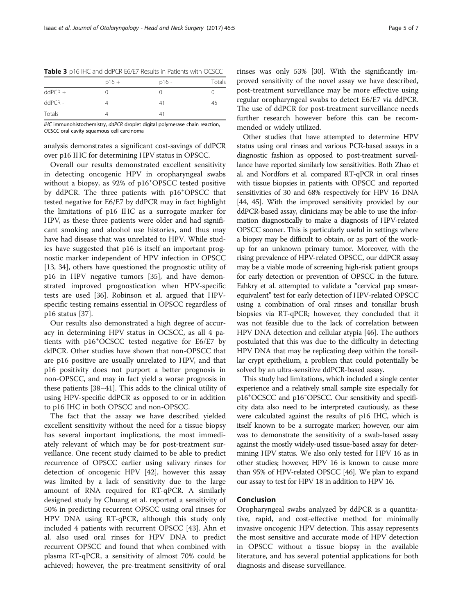|           | $p16 +$ | $p16 -$ | Totals |
|-----------|---------|---------|--------|
| $ddPCR +$ |         | $^{()}$ |        |
| ddPCR -   |         | 41      | 45     |
| Totals    |         | 41      |        |

<span id="page-4-0"></span>Table 3 p16 IHC and ddPCR E6/E7 Results in Patients with OCSCC

IHC immunohistochemistry, ddPCR droplet digital polymerase chain reaction, OCSCC oral cavity squamous cell carcinoma

analysis demonstrates a significant cost-savings of ddPCR over p16 IHC for determining HPV status in OPSCC.

Overall our results demonstrated excellent sensitivity in detecting oncogenic HPV in oropharyngeal swabs without a biopsy, as 92% of p16<sup>+</sup> OPSCC tested positive by ddPCR. The three patients with p16<sup>+</sup>OPSCC that tested negative for E6/E7 by ddPCR may in fact highlight the limitations of p16 IHC as a surrogate marker for HPV, as these three patients were older and had significant smoking and alcohol use histories, and thus may have had disease that was unrelated to HPV. While studies have suggested that p16 is itself an important prognostic marker independent of HPV infection in OPSCC [[13,](#page-5-0) [34](#page-6-0)], others have questioned the prognostic utility of p16 in HPV negative tumors [\[35](#page-6-0)], and have demonstrated improved prognostication when HPV-specific tests are used [\[36\]](#page-6-0). Robinson et al. argued that HPVspecific testing remains essential in OPSCC regardless of p16 status [\[37](#page-6-0)].

Our results also demonstrated a high degree of accuracy in determining HPV status in OCSCC, as all 4 patients with p16<sup>+</sup> OCSCC tested negative for E6/E7 by ddPCR. Other studies have shown that non-OPSCC that are p16 positive are usually unrelated to HPV, and that p16 positivity does not purport a better prognosis in non-OPSCC, and may in fact yield a worse prognosis in these patients [\[38](#page-6-0)–[41\]](#page-6-0). This adds to the clinical utility of using HPV-specific ddPCR as opposed to or in addition to p16 IHC in both OPSCC and non-OPSCC.

The fact that the assay we have described yielded excellent sensitivity without the need for a tissue biopsy has several important implications, the most immediately relevant of which may be for post-treatment surveillance. One recent study claimed to be able to predict recurrence of OPSCC earlier using salivary rinses for detection of oncogenic HPV [[42\]](#page-6-0), however this assay was limited by a lack of sensitivity due to the large amount of RNA required for RT-qPCR. A similarly designed study by Chuang et al. reported a sensitivity of 50% in predicting recurrent OPSCC using oral rinses for HPV DNA using RT-qPCR, although this study only included 4 patients with recurrent OPSCC [[43](#page-6-0)]. Ahn et al. also used oral rinses for HPV DNA to predict recurrent OPSCC and found that when combined with plasma RT-qPCR, a sensitivity of almost 70% could be achieved; however, the pre-treatment sensitivity of oral rinses was only 53% [[30](#page-6-0)]. With the significantly improved sensitivity of the novel assay we have described, post-treatment surveillance may be more effective using regular oropharyngeal swabs to detect E6/E7 via ddPCR. The use of ddPCR for post-treatment surveillance needs further research however before this can be recommended or widely utilized.

Other studies that have attempted to determine HPV status using oral rinses and various PCR-based assays in a diagnostic fashion as opposed to post-treatment surveillance have reported similarly low sensitivities. Both Zhao et al. and Nordfors et al. compared RT-qPCR in oral rinses with tissue biopsies in patients with OPSCC and reported sensitivities of 30 and 68% respectively for HPV 16 DNA [[44](#page-6-0), [45\]](#page-6-0). With the improved sensitivity provided by our ddPCR-based assay, clinicians may be able to use the information diagnostically to make a diagnosis of HPV-related OPSCC sooner. This is particularly useful in settings where a biopsy may be difficult to obtain, or as part of the workup for an unknown primary tumor. Moreover, with the rising prevalence of HPV-related OPSCC, our ddPCR assay may be a viable mode of screening high-risk patient groups for early detection or prevention of OPSCC in the future. Fahkry et al. attempted to validate a "cervical pap smearequivalent" test for early detection of HPV-related OPSCC using a combination of oral rinses and tonsillar brush biopsies via RT-qPCR; however, they concluded that it was not feasible due to the lack of correlation between HPV DNA detection and cellular atypia [[46](#page-6-0)]. The authors postulated that this was due to the difficulty in detecting HPV DNA that may be replicating deep within the tonsillar crypt epithelium, a problem that could potentially be solved by an ultra-sensitive ddPCR-based assay.

This study had limitations, which included a single center experience and a relatively small sample size especially for p16<sup>+</sup>OCSCC and p16<sup>-</sup>OPSCC. Our sensitivity and specificity data also need to be interpreted cautiously, as these were calculated against the results of p16 IHC, which is itself known to be a surrogate marker; however, our aim was to demonstrate the sensitivity of a swab-based assay against the mostly widely-used tissue-based assay for determining HPV status. We also only tested for HPV 16 as in other studies; however, HPV 16 is known to cause more than 95% of HPV-related OPSCC [\[46\]](#page-6-0). We plan to expand our assay to test for HPV 18 in addition to HPV 16.

#### Conclusion

Oropharyngeal swabs analyzed by ddPCR is a quantitative, rapid, and cost-effective method for minimally invasive oncogenic HPV detection. This assay represents the most sensitive and accurate mode of HPV detection in OPSCC without a tissue biopsy in the available literature, and has several potential applications for both diagnosis and disease surveillance.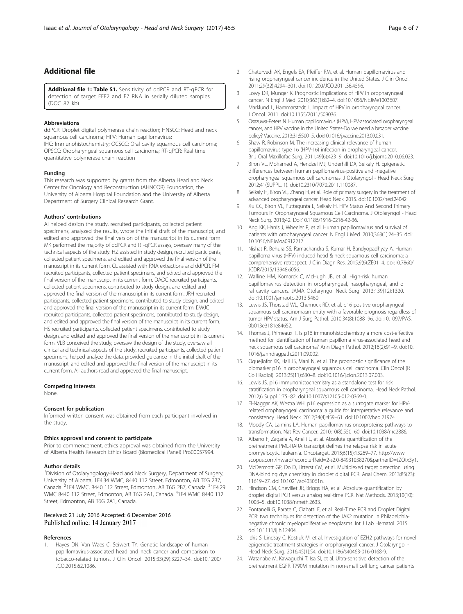## <span id="page-5-0"></span>Additional file

[Additional file 1: Table S1.](dx.doi.org/10.1186/s40463-016-0177-8) Sensitivity of ddPCR and RT-qPCR for detection of target EEF2 and E7 RNA in serially diluted samples. (DOC 82 kb)

#### Abbreviations

ddPCR: Droplet digital polymerase chain reaction; HNSCC: Head and neck squamous cell carcinoma; HPV: Human papillomavirus; IHC: Immunohistochemistry; OCSCC: Oral cavity squamous cell carcinoma; OPSCC: Oropharyngeal squamous cell carcinoma; RT-qPCR: Real time quantitative polymerase chain reaction

#### Funding

This research was supported by grants from the Alberta Head and Neck Center for Oncology and Reconstruction (AHNCOR) Foundation, the University of Alberta Hospital Foundation and the University of Alberta Department of Surgery Clinical Research Grant.

#### Authors' contributions

AI helped design the study, recruited participants, collected patient specimens, analyzed the results, wrote the initial draft of the manuscript, and edited and approved the final version of the manuscript in its current form. MK performed the majority of ddPCR and RT-qPCR assays, oversaw many of the technical aspects of the study. HZ assisted in study design, recruited participants, collected patient specimens, and edited and approved the final version of the manuscript in its current form. CL assisted with RNA extractions and ddPCR. FM recruited participants, collected patient specimens, and edited and approved the final version of the manuscript in its current form. DAOC recruited participants, collected patient specimens, contributed to study design, and edited and approved the final version of the manuscript in its current form. JRH recruited participants, collected patient specimens, contributed to study design, and edited and approved the final version of the manuscript in its current form. DWJC recruited participants, collected patient specimens, contributed to study design, and edited and approved the final version of the manuscript in its current form. HS recruited participants, collected patient specimens, contributed to study design, and edited and approved the final version of the manuscript in its current form. VLB conceived the study, oversaw the design of the study, oversaw all clinical and technical aspects of the study, recruited participants, collected patient specimens, helped analyze the data, provided guidance in the initial draft of the manuscript, and edited and approved the final version of the manuscript in its current form. All authors read and approved the final manuscript.

#### Competing interests

None.

#### Consent for publication

Informed written consent was obtained from each participant involved in the study.

#### Ethics approval and consent to participate

Prior to commencement, ethics approval was obtained from the University of Alberta Health Research Ethics Board (Biomedical Panel) Pro00057994.

#### Author details

<sup>1</sup> Division of Otolaryngology-Head and Neck Surgery, Department of Surgery, University of Alberta, 1E4.34 WMC, 8440 112 Street, Edmonton, AB T6G 2B7, Canada. <sup>2</sup>1E4 WMC, 8440 112 Street, Edmonton, AB T6G 2B7, Canada. <sup>3</sup>1E4.29 WMC 8440 112 Street, Edmonton, AB T6G 2A1, Canada. <sup>4</sup>1E4 WMC 8440 112 Street, Edmonton, AB T6G 2A1, Canada.

#### Received: 21 July 2016 Accepted: 6 December 2016 Published online: 14 January 2017

#### References

1. Hayes DN, Van Waes C, Seiwert TY. Genetic landscape of human papillomavirus-associated head and neck cancer and comparison to tobacco-related tumors. J Clin Oncol. 2015;33(29):3227–34. doi[:10.1200/](http://dx.doi.org/10.1200/JCO.2015.62.1086) [JCO.2015.62.1086.](http://dx.doi.org/10.1200/JCO.2015.62.1086)

- 2. Chaturvedi AK, Engels EA, Pfeiffer RM, et al. Human papillomavirus and rising oropharyngeal cancer incidence in the United States. J Clin Oncol. 2011;29(32):4294–301. doi[:10.1200/JCO.2011.36.4596](http://dx.doi.org/10.1200/JCO.2011.36.4596).
- 3. Lowy DR, Munger K. Prognostic implications of HPV in oropharyngeal cancer. N Engl J Med. 2010;363(1):82–4. doi[:10.1056/NEJMe1003607.](http://dx.doi.org/10.1056/NEJMe1003607)
- 4. Marklund L, Hammarstedt L. Impact of HPV in oropharyngeal cancer. J Oncol. 2011. doi:[10.1155/2011/509036.](http://dx.doi.org/10.1155/2011/509036)
- 5. Osazuwa-Peters N. Human papillomavirus (HPV), HPV-associated oropharyngeal cancer, and HPV vaccine in the United States-Do we need a broader vaccine policy? Vaccine. 2013;31:5500–5. doi[:10.1016/j.vaccine.2013.09.031](http://dx.doi.org/10.1016/j.vaccine.2013.09.031).
- Shaw R, Robinson M. The increasing clinical relevance of human papillomavirus type 16 (HPV-16) infection in oropharyngeal cancer. Br J Oral Maxillofac Surg. 2011;49(6):423–9. doi[:10.1016/j.bjoms.2010.06.023.](http://dx.doi.org/10.1016/j.bjoms.2010.06.023)
- 7. Biron VL, Mohamed A, Hendzel MJ, Underhill DA, Seikaly H. Epigenetic differences between human papillomavirus-positive and -negative oropharyngeal squamous cell carcinomas. J Otolaryngol - Head Neck Surg. 2012;41(SUPPL. 1). doi[:10.2310/7070.2011.110087.](http://dx.doi.org/10.2310/7070.2011.110087)
- Seikaly H, Biron VL, Zhang H, et al. Role of primary surgery in the treatment of advanced oropharyngeal cancer. Head Neck. 2015. doi[:10.1002/hed.24042](http://dx.doi.org/10.1002/hed.24042).
- 9. Xu CC, Biron VL, Puttagunta L, Seikaly H. HPV Status And Second Primary Tumours In Oropharyngeal Squamous Cell Carcinoma. J Otolaryngol - Head Neck Surg. 2013;42. Doi[:10.1186/1916-0216-42-36](http://dx.doi.org/10.1186/1916-0216-42-36).
- 10. Ang KK, Harris J, Wheeler R, et al. Human papillomavirus and survival of patients with oropharyngeal cancer. N Engl J Med. 2010;363(1):24–35. doi: [10.1056/NEJMoa0912217](http://dx.doi.org/10.1056/NEJMoa0912217).
- 11. Nishat R, Behura SS, Ramachandra S, Kumar H, Bandyopadhyay A. Human papilloma virus (HPV) induced head & neck squamous cell carcinoma: a comprehensive retrospect. J Clin Diagn Res. 2015;9(6):ZE01–4. doi:[10.7860/](http://dx.doi.org/10.7860/JCDR/2015/13948.6056) [JCDR/2015/13948.6056.](http://dx.doi.org/10.7860/JCDR/2015/13948.6056)
- 12. Walline HM, Komarck C, McHugh JB, et al. High-risk human papillomavirus detection in oropharyngeal, nasopharyngeal, and o ral cavity cancers. JAMA Otolaryngol Neck Surg. 2013;139(12):1320. doi[:10.1001/jamaoto.2013.5460.](http://dx.doi.org/10.1001/jamaoto.2013.5460)
- 13. Lewis JS, Thorstad WL, Chernock RD, et al. p16 positive oropharyngeal squamous cell carcinoma:an entity with a favorable prognosis regardless of tumor HPV status. Am J Surg Pathol. 2010;34(8):1088–96. doi[:10.1097/PAS.](http://dx.doi.org/10.1097/PAS.0b013e3181e84652) [0b013e3181e84652.](http://dx.doi.org/10.1097/PAS.0b013e3181e84652)
- 14. Thomas J, Primeaux T. Is p16 immunohistochemistry a more cost-effective method for identification of human papilloma virus-associated head and neck squamous cell carcinoma? Ann Diagn Pathol. 2012;16(2):91–9. doi[:10.](http://dx.doi.org/10.1016/j.anndiagpath.2011.09.002) [1016/j.anndiagpath.2011.09.002.](http://dx.doi.org/10.1016/j.anndiagpath.2011.09.002)
- 15. Oguejiofor KK, Hall JS, Mani N, et al. The prognostic significance of the biomarker p16 in oropharyngeal squamous cell carcinoma. Clin Oncol (R Coll Radiol). 2013;25(11):630–8. doi[:10.1016/j.clon.2013.07.003.](http://dx.doi.org/10.1016/j.clon.2013.07.003)
- 16. Lewis JS. p16 immunohistochemistry as a standalone test for risk stratification in oropharyngeal squamous cell carcinoma. Head Neck Pathol. 2012;6 Suppl 1:75–82. doi:[10.1007/s12105-012-0369-0](http://dx.doi.org/10.1007/s12105-012-0369-0).
- 17. El-Naggar AK, Westra WH. p16 expression as a surrogate marker for HPVrelated oropharyngeal carcinoma: a guide for interpretative relevance and consistency. Head Neck. 2012;34(4):459–61. doi:[10.1002/hed.21974](http://dx.doi.org/10.1002/hed.21974).
- 18. Moody CA, Laimins LA. Human papillomavirus oncoproteins: pathways to transformation. Nat Rev Cancer. 2010;10(8):550–60. doi[:10.1038/nrc2886.](http://dx.doi.org/10.1038/nrc2886)
- 19. Albano F, Zagaria A, Anelli L, et al. Absolute quantification of the pretreatment PML-RARA transcript defines the relapse risk in acute promyelocytic leukemia. Oncotarget. 2015;6(15):13269–77. [http://www.](http://www.scopus.com/inward/record.url?eid=2-s2.0-84931038270&partnerID=tZOtx3y1) [scopus.com/inward/record.url?eid=2-s2.0-84931038270&partnerID=tZOtx3y1](http://www.scopus.com/inward/record.url?eid=2-s2.0-84931038270&partnerID=tZOtx3y1).
- 20. McDermott GP, Do D, Litterst CM, et al. Multiplexed target detection using DNA-binding dye chemistry in droplet digital PCR. Anal Chem. 2013;85(23): 11619–27. doi:[10.1021/ac403061n.](http://dx.doi.org/10.1021/ac403061n)
- 21. Hindson CM, Chevillet JR, Briggs HA, et al. Absolute quantification by droplet digital PCR versus analog real-time PCR. Nat Methods. 2013;10(10): 1003–5. doi:[10.1038/nmeth.2633.](http://dx.doi.org/10.1038/nmeth.2633)
- 22. Fontanelli G, Barate C, Ciabatti E, et al. Real-Time PCR and Droplet Digital PCR: two techniques for detection of the JAK2 mutation in Philadelphianegative chronic myeloproliferative neoplasms. Int J Lab Hematol. 2015. doi[:10.1111/ijlh.12404.](http://dx.doi.org/10.1111/ijlh.12404)
- 23. Idris S, Lindsay C, Kostiuk M, et al. Investigation of EZH2 pathways for novel epigenetic treatment strategies in oropharyngeal cancer. J Otolaryngol - Head Neck Surg. 2016;45(1):54. doi:[10.1186/s40463-016-0168-9.](http://dx.doi.org/10.1186/s40463-016-0168-9)
- 24. Watanabe M, Kawaguchi T, Isa SI, et al. Ultra-sensitive detection of the pretreatment EGFR T790M mutation in non-small cell lung cancer patients